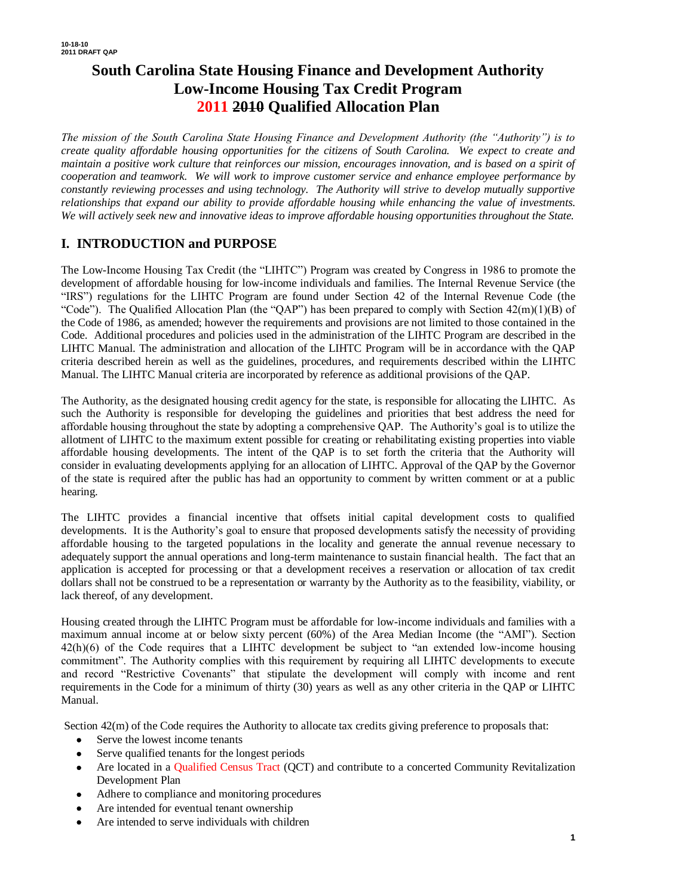# **South Carolina State Housing Finance and Development Authority Low-Income Housing Tax Credit Program 2011 2010 Qualified Allocation Plan**

*The mission of the South Carolina State Housing Finance and Development Authority (the "Authority") is to create quality affordable housing opportunities for the citizens of South Carolina. We expect to create and maintain a positive work culture that reinforces our mission, encourages innovation, and is based on a spirit of cooperation and teamwork. We will work to improve customer service and enhance employee performance by constantly reviewing processes and using technology. The Authority will strive to develop mutually supportive relationships that expand our ability to provide affordable housing while enhancing the value of investments. We will actively seek new and innovative ideas to improve affordable housing opportunities throughout the State.*

## **I. INTRODUCTION and PURPOSE**

The Low-Income Housing Tax Credit (the "LIHTC") Program was created by Congress in 1986 to promote the development of affordable housing for low-income individuals and families. The Internal Revenue Service (the "IRS") regulations for the LIHTC Program are found under Section 42 of the Internal Revenue Code (the "Code"). The Qualified Allocation Plan (the "QAP") has been prepared to comply with Section  $42(m)(1)(B)$  of the Code of 1986, as amended; however the requirements and provisions are not limited to those contained in the Code. Additional procedures and policies used in the administration of the LIHTC Program are described in the LIHTC Manual. The administration and allocation of the LIHTC Program will be in accordance with the QAP criteria described herein as well as the guidelines, procedures, and requirements described within the LIHTC Manual. The LIHTC Manual criteria are incorporated by reference as additional provisions of the QAP.

The Authority, as the designated housing credit agency for the state, is responsible for allocating the LIHTC. As such the Authority is responsible for developing the guidelines and priorities that best address the need for affordable housing throughout the state by adopting a comprehensive QAP. The Authority's goal is to utilize the allotment of LIHTC to the maximum extent possible for creating or rehabilitating existing properties into viable affordable housing developments. The intent of the QAP is to set forth the criteria that the Authority will consider in evaluating developments applying for an allocation of LIHTC. Approval of the QAP by the Governor of the state is required after the public has had an opportunity to comment by written comment or at a public hearing.

The LIHTC provides a financial incentive that offsets initial capital development costs to qualified developments. It is the Authority's goal to ensure that proposed developments satisfy the necessity of providing affordable housing to the targeted populations in the locality and generate the annual revenue necessary to adequately support the annual operations and long-term maintenance to sustain financial health. The fact that an application is accepted for processing or that a development receives a reservation or allocation of tax credit dollars shall not be construed to be a representation or warranty by the Authority as to the feasibility, viability, or lack thereof, of any development.

Housing created through the LIHTC Program must be affordable for low-income individuals and families with a maximum annual income at or below sixty percent (60%) of the Area Median Income (the "AMI"). Section 42(h)(6) of the Code requires that a LIHTC development be subject to "an extended low-income housing commitment". The Authority complies with this requirement by requiring all LIHTC developments to execute and record "Restrictive Covenants" that stipulate the development will comply with income and rent requirements in the Code for a minimum of thirty (30) years as well as any other criteria in the QAP or LIHTC Manual.

Section  $42(m)$  of the Code requires the Authority to allocate tax credits giving preference to proposals that:

- Serve the lowest income tenants
- Serve qualified tenants for the longest periods
- Are located in a Qualified Census Tract (QCT) and contribute to a concerted Community Revitalization Development Plan
- Adhere to compliance and monitoring procedures
- Are intended for eventual tenant ownership
- Are intended to serve individuals with children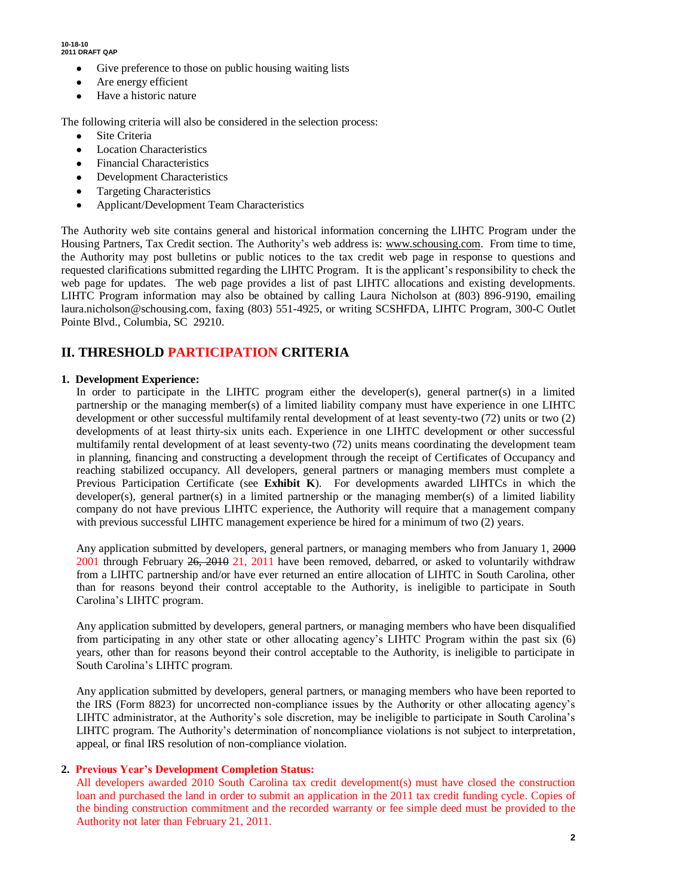- Give preference to those on public housing waiting lists
- Are energy efficient
- Have a historic nature

The following criteria will also be considered in the selection process:

- Site Criteria
- Location Characteristics
- Financial Characteristics
- Development Characteristics
- Targeting Characteristics
- Applicant/Development Team Characteristics

The Authority web site contains general and historical information concerning the LIHTC Program under the Housing Partners, Tax Credit section. The Authority's web address is: www.schousing.com. From time to time, the Authority may post bulletins or public notices to the tax credit web page in response to questions and requested clarifications submitted regarding the LIHTC Program. It is the applicant's responsibility to check the web page for updates. The web page provides a list of past LIHTC allocations and existing developments. LIHTC Program information may also be obtained by calling Laura Nicholson at (803) 896-9190, emailing laura.nicholson@schousing.com, faxing (803) 551-4925, or writing SCSHFDA, LIHTC Program, 300-C Outlet Pointe Blvd., Columbia, SC 29210.

# **II. THRESHOLD PARTICIPATION CRITERIA**

### **1. Development Experience:**

In order to participate in the LIHTC program either the developer(s), general partner(s) in a limited partnership or the managing member(s) of a limited liability company must have experience in one LIHTC development or other successful multifamily rental development of at least seventy-two (72) units or two (2) developments of at least thirty-six units each. Experience in one LIHTC development or other successful multifamily rental development of at least seventy-two (72) units means coordinating the development team in planning, financing and constructing a development through the receipt of Certificates of Occupancy and reaching stabilized occupancy. All developers, general partners or managing members must complete a Previous Participation Certificate (see **Exhibit K**). For developments awarded LIHTCs in which the developer(s), general partner(s) in a limited partnership or the managing member(s) of a limited liability company do not have previous LIHTC experience, the Authority will require that a management company with previous successful LIHTC management experience be hired for a minimum of two (2) years.

Any application submitted by developers, general partners, or managing members who from January 1, 2000 2001 through February 26, 2010 21, 2011 have been removed, debarred, or asked to voluntarily withdraw from a LIHTC partnership and/or have ever returned an entire allocation of LIHTC in South Carolina, other than for reasons beyond their control acceptable to the Authority, is ineligible to participate in South Carolina's LIHTC program.

Any application submitted by developers, general partners, or managing members who have been disqualified from participating in any other state or other allocating agency's LIHTC Program within the past six (6) years, other than for reasons beyond their control acceptable to the Authority, is ineligible to participate in South Carolina's LIHTC program.

Any application submitted by developers, general partners, or managing members who have been reported to the IRS (Form 8823) for uncorrected non-compliance issues by the Authority or other allocating agency's LIHTC administrator, at the Authority's sole discretion, may be ineligible to participate in South Carolina's LIHTC program. The Authority's determination of noncompliance violations is not subject to interpretation, appeal, or final IRS resolution of non-compliance violation.

### **2. Previous Year's Development Completion Status:**

All developers awarded 2010 South Carolina tax credit development(s) must have closed the construction loan and purchased the land in order to submit an application in the 2011 tax credit funding cycle. Copies of the binding construction commitment and the recorded warranty or fee simple deed must be provided to the Authority not later than February 21, 2011.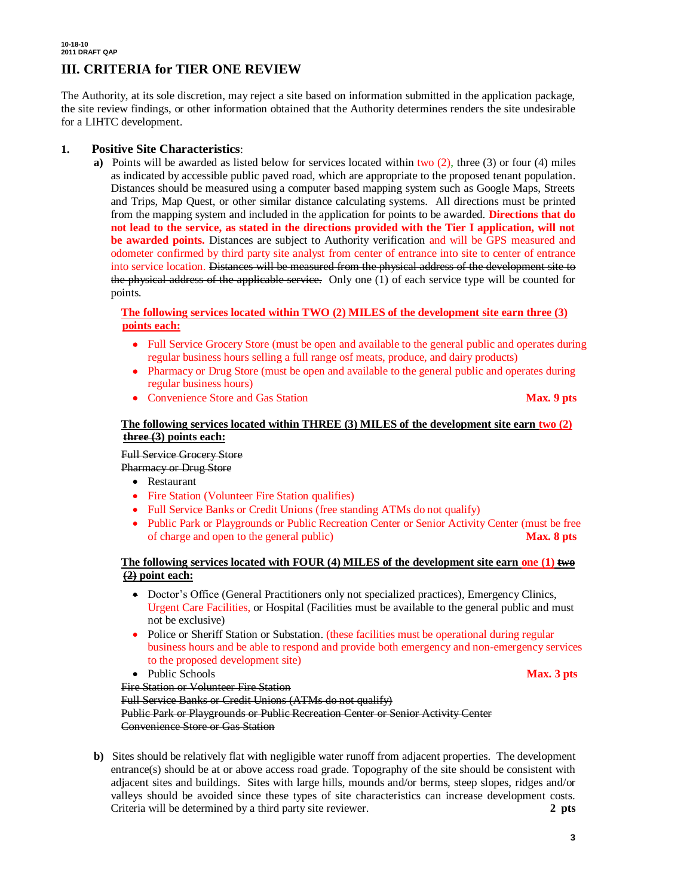## **III. CRITERIA for TIER ONE REVIEW**

The Authority, at its sole discretion, may reject a site based on information submitted in the application package, the site review findings, or other information obtained that the Authority determines renders the site undesirable for a LIHTC development.

### **1. Positive Site Characteristics**:

**a)** Points will be awarded as listed below for services located within two (2), three (3) or four (4) miles as indicated by accessible public paved road, which are appropriate to the proposed tenant population. Distances should be measured using a computer based mapping system such as Google Maps, Streets and Trips, Map Quest, or other similar distance calculating systems. All directions must be printed from the mapping system and included in the application for points to be awarded. **Directions that do not lead to the service, as stated in the directions provided with the Tier I application, will not be awarded points.** Distances are subject to Authority verification and will be GPS measured and odometer confirmed by third party site analyst from center of entrance into site to center of entrance into service location. Distances will be measured from the physical address of the development site to the physical address of the applicable service. Only one (1) of each service type will be counted for points.

### **The following services located within TWO (2) MILES of the development site earn three (3) points each:**

- Full Service Grocery Store (must be open and available to the general public and operates during regular business hours selling a full range osf meats, produce, and dairy products)
- Pharmacy or Drug Store (must be open and available to the general public and operates during regular business hours)
- Convenience Store and Gas Station **Max. 9 pts**

### **The following services located within THREE (3) MILES of the development site earn two (2) three (3) points each:**

### Full Service Grocery Store

Pharmacy or Drug Store

- Restaurant
- Fire Station (Volunteer Fire Station qualifies)
- Full Service Banks or Credit Unions (free standing ATMs do not qualify)
- Public Park or Playgrounds or Public Recreation Center or Senior Activity Center (must be free of charge and open to the general public) **Max. 8 pts**

### **The following services located with FOUR (4) MILES of the development site earn one (1) two (2) point each:**

- Doctor's Office (General Practitioners only not specialized practices), Emergency Clinics, Urgent Care Facilities, or Hospital (Facilities must be available to the general public and must not be exclusive)
- Police or Sheriff Station or Substation. (these facilities must be operational during regular business hours and be able to respond and provide both emergency and non-emergency services to the proposed development site)
- Public Schools **Max. 3 pts**

Fire Station or Volunteer Fire Station

Full Service Banks or Credit Unions (ATMs do not qualify)

Public Park or Playgrounds or Public Recreation Center or Senior Activity Center Convenience Store or Gas Station

**b)** Sites should be relatively flat with negligible water runoff from adjacent properties. The development entrance(s) should be at or above access road grade. Topography of the site should be consistent with adjacent sites and buildings. Sites with large hills, mounds and/or berms, steep slopes, ridges and/or valleys should be avoided since these types of site characteristics can increase development costs. Criteria will be determined by a third party site reviewer. **2 pts**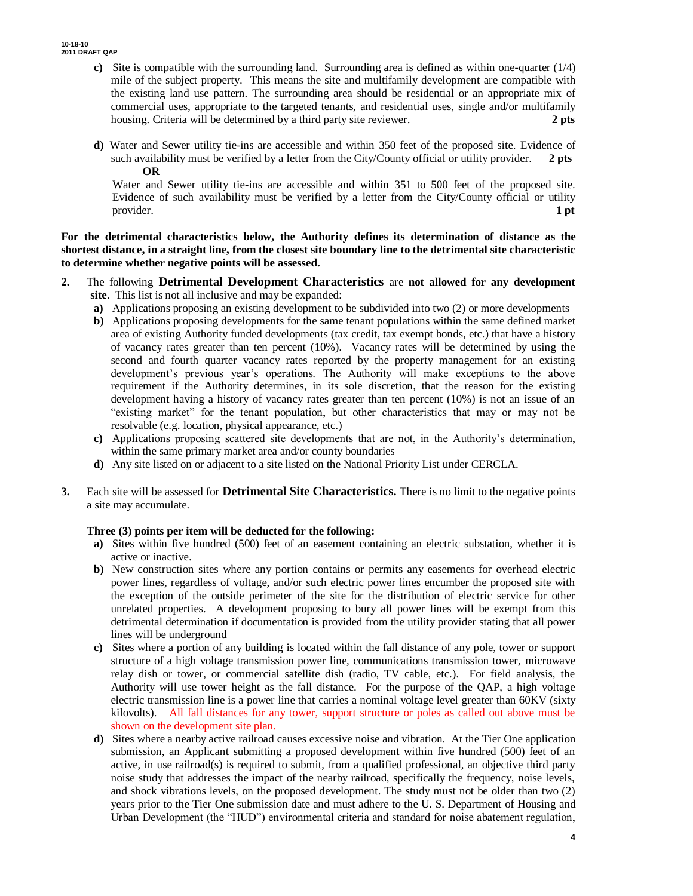- **c)** Site is compatible with the surrounding land. Surrounding area is defined as within one-quarter (1/4) mile of the subject property. This means the site and multifamily development are compatible with the existing land use pattern. The surrounding area should be residential or an appropriate mix of commercial uses, appropriate to the targeted tenants, and residential uses, single and/or multifamily housing. Criteria will be determined by a third party site reviewer. **2 pts**
- **d)** Water and Sewer utility tie-ins are accessible and within 350 feet of the proposed site. Evidence of such availability must be verified by a letter from the City/County official or utility provider. **2 pts OR**

 Water and Sewer utility tie-ins are accessible and within 351 to 500 feet of the proposed site. Evidence of such availability must be verified by a letter from the City/County official or utility provider. **1 pt**

**For the detrimental characteristics below, the Authority defines its determination of distance as the shortest distance, in a straight line, from the closest site boundary line to the detrimental site characteristic to determine whether negative points will be assessed.**

- **2.** The following **Detrimental Development Characteristics** are **not allowed for any development site**. This list is not all inclusive and may be expanded:
	- **a)** Applications proposing an existing development to be subdivided into two (2) or more developments
	- **b)** Applications proposing developments for the same tenant populations within the same defined market area of existing Authority funded developments (tax credit, tax exempt bonds, etc.) that have a history of vacancy rates greater than ten percent (10%). Vacancy rates will be determined by using the second and fourth quarter vacancy rates reported by the property management for an existing development's previous year's operations. The Authority will make exceptions to the above requirement if the Authority determines, in its sole discretion, that the reason for the existing development having a history of vacancy rates greater than ten percent (10%) is not an issue of an "existing market" for the tenant population, but other characteristics that may or may not be resolvable (e.g. location, physical appearance, etc.)
	- **c)** Applications proposing scattered site developments that are not, in the Authority's determination, within the same primary market area and/or county boundaries
	- **d)** Any site listed on or adjacent to a site listed on the National Priority List under CERCLA.
- **3.** Each site will be assessed for **Detrimental Site Characteristics.** There is no limit to the negative points a site may accumulate.

### **Three (3) points per item will be deducted for the following:**

- **a**) Sites within five hundred (500) feet of an easement containing an electric substation, whether it is active or inactive.
- **b)** New construction sites where any portion contains or permits any easements for overhead electric power lines, regardless of voltage, and/or such electric power lines encumber the proposed site with the exception of the outside perimeter of the site for the distribution of electric service for other unrelated properties. A development proposing to bury all power lines will be exempt from this detrimental determination if documentation is provided from the utility provider stating that all power lines will be underground
- **c)** Sites where a portion of any building is located within the fall distance of any pole, tower or support structure of a high voltage transmission power line, communications transmission tower, microwave relay dish or tower, or commercial satellite dish (radio, TV cable, etc.). For field analysis, the Authority will use tower height as the fall distance. For the purpose of the QAP, a high voltage electric transmission line is a power line that carries a nominal voltage level greater than 60KV (sixty kilovolts). All fall distances for any tower, support structure or poles as called out above must be shown on the development site plan.
- **d)** Sites where a nearby active railroad causes excessive noise and vibration. At the Tier One application submission, an Applicant submitting a proposed development within five hundred (500) feet of an active, in use railroad(s) is required to submit, from a qualified professional, an objective third party noise study that addresses the impact of the nearby railroad, specifically the frequency, noise levels, and shock vibrations levels, on the proposed development. The study must not be older than two (2) years prior to the Tier One submission date and must adhere to the U. S. Department of Housing and Urban Development (the "HUD") environmental criteria and standard for noise abatement regulation,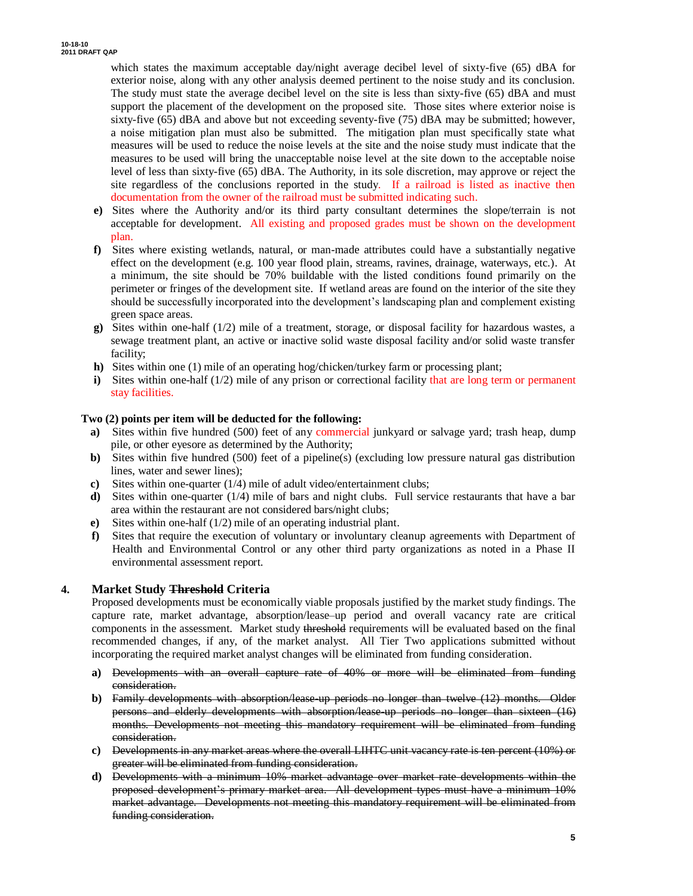which states the maximum acceptable day/night average decibel level of sixty-five (65) dBA for exterior noise, along with any other analysis deemed pertinent to the noise study and its conclusion. The study must state the average decibel level on the site is less than sixty-five (65) dBA and must support the placement of the development on the proposed site. Those sites where exterior noise is sixty-five (65) dBA and above but not exceeding seventy-five (75) dBA may be submitted; however, a noise mitigation plan must also be submitted. The mitigation plan must specifically state what measures will be used to reduce the noise levels at the site and the noise study must indicate that the measures to be used will bring the unacceptable noise level at the site down to the acceptable noise level of less than sixty-five (65) dBA. The Authority, in its sole discretion, may approve or reject the site regardless of the conclusions reported in the study. If a railroad is listed as inactive then documentation from the owner of the railroad must be submitted indicating such.

- **e)** Sites where the Authority and/or its third party consultant determines the slope/terrain is not acceptable for development. All existing and proposed grades must be shown on the development plan.
- **f)** Sites where existing wetlands, natural, or man-made attributes could have a substantially negative effect on the development (e.g. 100 year flood plain, streams, ravines, drainage, waterways, etc.). At a minimum, the site should be 70% buildable with the listed conditions found primarily on the perimeter or fringes of the development site. If wetland areas are found on the interior of the site they should be successfully incorporated into the development's landscaping plan and complement existing green space areas.
- **g)** Sites within one-half (1/2) mile of a treatment, storage, or disposal facility for hazardous wastes, a sewage treatment plant, an active or inactive solid waste disposal facility and/or solid waste transfer facility;
- **h)** Sites within one (1) mile of an operating hog/chicken/turkey farm or processing plant;
- **i)** Sites within one-half (1/2) mile of any prison or correctional facility that are long term or permanent stay facilities.

#### **Two (2) points per item will be deducted for the following:**

- **a**) Sites within five hundred (500) feet of any commercial junkyard or salvage yard; trash heap, dump pile, or other eyesore as determined by the Authority;
- **b)** Sites within five hundred (500) feet of a pipeline(s) (excluding low pressure natural gas distribution lines, water and sewer lines);
- **c)** Sites within one-quarter (1/4) mile of adult video/entertainment clubs;
- **d**) Sites within one-quarter (1/4) mile of bars and night clubs. Full service restaurants that have a bar area within the restaurant are not considered bars/night clubs;
- **e)** Sites within one-half (1/2) mile of an operating industrial plant.
- **f)** Sites that require the execution of voluntary or involuntary cleanup agreements with Department of Health and Environmental Control or any other third party organizations as noted in a Phase II environmental assessment report.

### **4. Market Study Threshold Criteria**

Proposed developments must be economically viable proposals justified by the market study findings. The capture rate, market advantage, absorption/lease–up period and overall vacancy rate are critical components in the assessment. Market study threshold requirements will be evaluated based on the final recommended changes, if any, of the market analyst. All Tier Two applications submitted without incorporating the required market analyst changes will be eliminated from funding consideration.

- **a)** Developments with an overall capture rate of 40% or more will be eliminated from funding consideration.
- **b)** Family developments with absorption/lease-up periods no longer than twelve (12) months. Older persons and elderly developments with absorption/lease up periods no longer than sixteen (16) months. Developments not meeting this mandatory requirement will be eliminated from funding consideration.
- **c)** Developments in any market areas where the overall LIHTC unit vacancy rate is ten percent (10%) or greater will be eliminated from funding consideration.
- **d)** Developments with a minimum 10% market advantage over market rate developments within the proposed development's primary market area. All development types must have a minimum 10% market advantage. Developments not meeting this mandatory requirement will be eliminated from funding consideration.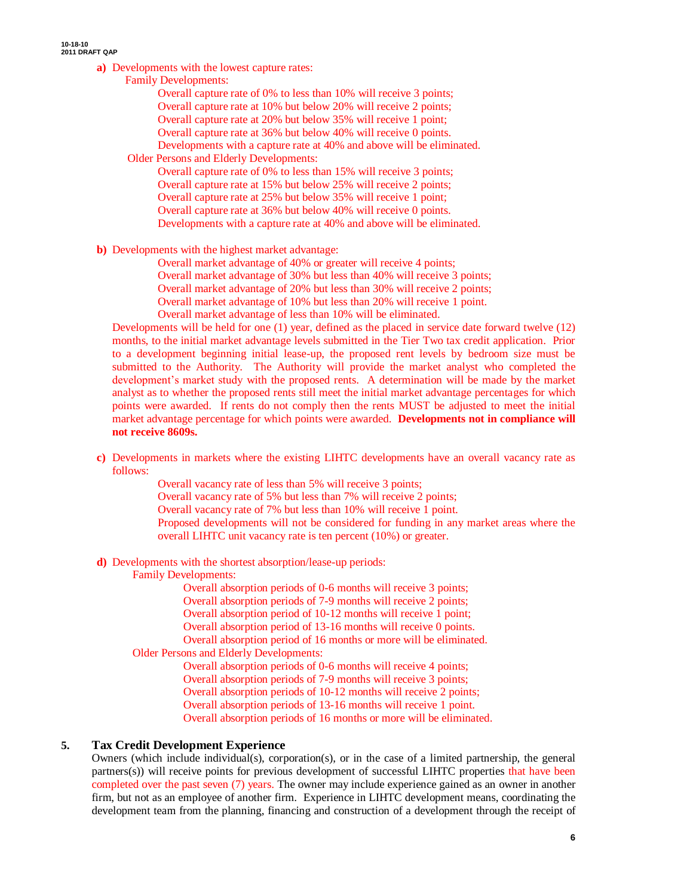- **a)** Developments with the lowest capture rates:
	- Family Developments:

Overall capture rate of 0% to less than 10% will receive 3 points; Overall capture rate at 10% but below 20% will receive 2 points; Overall capture rate at 20% but below 35% will receive 1 point;

Overall capture rate at 36% but below 40% will receive 0 points.

Developments with a capture rate at 40% and above will be eliminated.

Older Persons and Elderly Developments:

Overall capture rate of 0% to less than 15% will receive 3 points; Overall capture rate at 15% but below 25% will receive 2 points; Overall capture rate at 25% but below 35% will receive 1 point; Overall capture rate at 36% but below 40% will receive 0 points. Developments with a capture rate at 40% and above will be eliminated.

**b)** Developments with the highest market advantage:

Overall market advantage of 40% or greater will receive 4 points;

Overall market advantage of 30% but less than 40% will receive 3 points;

Overall market advantage of 20% but less than 30% will receive 2 points;

Overall market advantage of 10% but less than 20% will receive 1 point.

Overall market advantage of less than 10% will be eliminated.

Developments will be held for one (1) year, defined as the placed in service date forward twelve (12) months, to the initial market advantage levels submitted in the Tier Two tax credit application. Prior to a development beginning initial lease-up, the proposed rent levels by bedroom size must be submitted to the Authority. The Authority will provide the market analyst who completed the development's market study with the proposed rents. A determination will be made by the market analyst as to whether the proposed rents still meet the initial market advantage percentages for which points were awarded. If rents do not comply then the rents MUST be adjusted to meet the initial market advantage percentage for which points were awarded. **Developments not in compliance will not receive 8609s.** 

**c)** Developments in markets where the existing LIHTC developments have an overall vacancy rate as follows:

Overall vacancy rate of less than 5% will receive 3 points;

Overall vacancy rate of 5% but less than 7% will receive 2 points;

Overall vacancy rate of 7% but less than 10% will receive 1 point.

Proposed developments will not be considered for funding in any market areas where the overall LIHTC unit vacancy rate is ten percent (10%) or greater.

**d)** Developments with the shortest absorption/lease-up periods:

Family Developments:

Overall absorption periods of 0-6 months will receive 3 points;

Overall absorption periods of 7-9 months will receive 2 points;

Overall absorption period of 10-12 months will receive 1 point;

Overall absorption period of 13-16 months will receive 0 points.

Overall absorption period of 16 months or more will be eliminated.

Older Persons and Elderly Developments:

Overall absorption periods of 0-6 months will receive 4 points;

Overall absorption periods of 7-9 months will receive 3 points;

Overall absorption periods of 10-12 months will receive 2 points;

Overall absorption periods of 13-16 months will receive 1 point.

Overall absorption periods of 16 months or more will be eliminated.

### **5. Tax Credit Development Experience**

Owners (which include individual(s), corporation(s), or in the case of a limited partnership, the general partners(s)) will receive points for previous development of successful LIHTC properties that have been completed over the past seven (7) years. The owner may include experience gained as an owner in another firm, but not as an employee of another firm. Experience in LIHTC development means, coordinating the development team from the planning, financing and construction of a development through the receipt of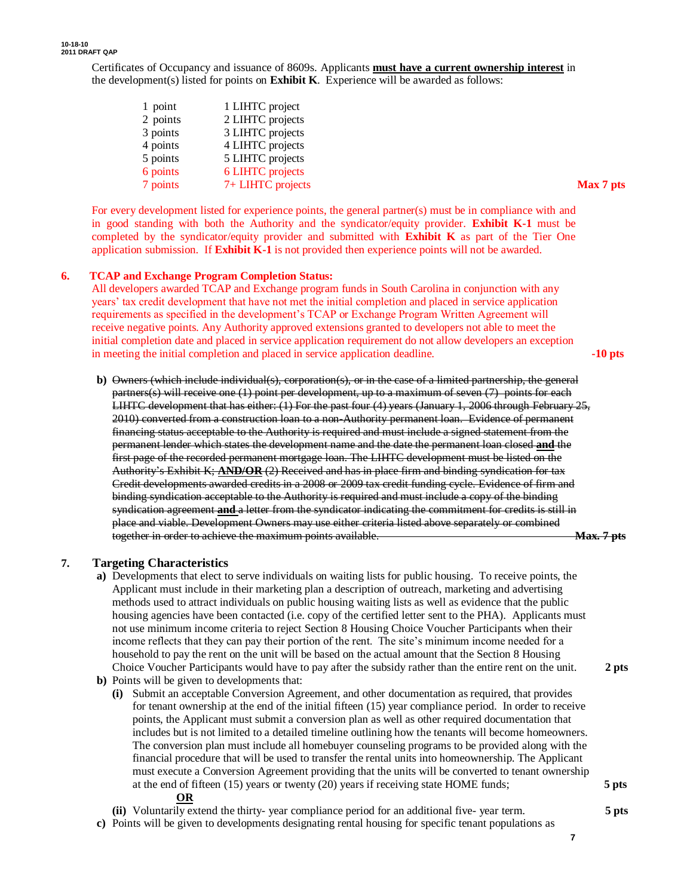Certificates of Occupancy and issuance of 8609s. Applicants **must have a current ownership interest** in the development(s) listed for points on **Exhibit K**. Experience will be awarded as follows:

| 1 point  | 1 LIHTC project   |           |
|----------|-------------------|-----------|
| 2 points | 2 LIHTC projects  |           |
| 3 points | 3 LIHTC projects  |           |
| 4 points | 4 LIHTC projects  |           |
| 5 points | 5 LIHTC projects  |           |
| 6 points | 6 LIHTC projects  |           |
| 7 points | 7+ LIHTC projects | Max 7 pts |

For every development listed for experience points, the general partner(s) must be in compliance with and in good standing with both the Authority and the syndicator/equity provider. **Exhibit K-1** must be completed by the syndicator/equity provider and submitted with **Exhibit K** as part of the Tier One application submission. If **Exhibit K-1** is not provided then experience points will not be awarded.

### **6. TCAP and Exchange Program Completion Status:**

All developers awarded TCAP and Exchange program funds in South Carolina in conjunction with any years' tax credit development that have not met the initial completion and placed in service application requirements as specified in the development's TCAP or Exchange Program Written Agreement will receive negative points. Any Authority approved extensions granted to developers not able to meet the initial completion date and placed in service application requirement do not allow developers an exception in meeting the initial completion and placed in service application deadline. **-10 pts**

**b)** Owners (which include individual(s), corporation(s), or in the case of a limited partnership, the general partners(s) will receive one (1) point per development, up to a maximum of seven (7) points for each LIHTC development that has either: (1) For the past four (4) years (January 1, 2006 through February 25, 2010) converted from a construction loan to a non-Authority permanent loan. Evidence of permanent financing status acceptable to the Authority is required and must include a signed statement from the permanent lender which states the development name and the date the permanent loan closed **and** the first page of the recorded permanent mortgage loan. The LIHTC development must be listed on the Authority's Exhibit K; **AND/OR** (2) Received and has in place firm and binding syndication for tax Credit developments awarded credits in a 2008 or 2009 tax credit funding cycle. Evidence of firm and binding syndication acceptable to the Authority is required and must include a copy of the binding syndication agreement **and** a letter from the syndicator indicating the commitment for credits is still in place and viable. Development Owners may use either criteria listed above separately or combined together in order to achieve the maximum points available. **Max.** 7 pts

#### **7. Targeting Characteristics**

- **a)** Developments that elect to serve individuals on waiting lists for public housing. To receive points, the Applicant must include in their marketing plan a description of outreach, marketing and advertising methods used to attract individuals on public housing waiting lists as well as evidence that the public housing agencies have been contacted (i.e. copy of the certified letter sent to the PHA). Applicants must not use minimum income criteria to reject Section 8 Housing Choice Voucher Participants when their income reflects that they can pay their portion of the rent. The site's minimum income needed for a household to pay the rent on the unit will be based on the actual amount that the Section 8 Housing Choice Voucher Participants would have to pay after the subsidy rather than the entire rent on the unit. **2 pts**
- **b)** Points will be given to developments that:
	- **(i)** Submit an acceptable Conversion Agreement, and other documentation as required, that provides for tenant ownership at the end of the initial fifteen (15) year compliance period. In order to receive points, the Applicant must submit a conversion plan as well as other required documentation that includes but is not limited to a detailed timeline outlining how the tenants will become homeowners. The conversion plan must include all homebuyer counseling programs to be provided along with the financial procedure that will be used to transfer the rental units into homeownership. The Applicant must execute a Conversion Agreement providing that the units will be converted to tenant ownership at the end of fifteen (15) years or twenty (20) years if receiving state HOME funds; **5 pts OR**

**(ii)** Voluntarily extend the thirty- year compliance period for an additional five- year term. **5 pts**

**c)** Points will be given to developments designating rental housing for specific tenant populations as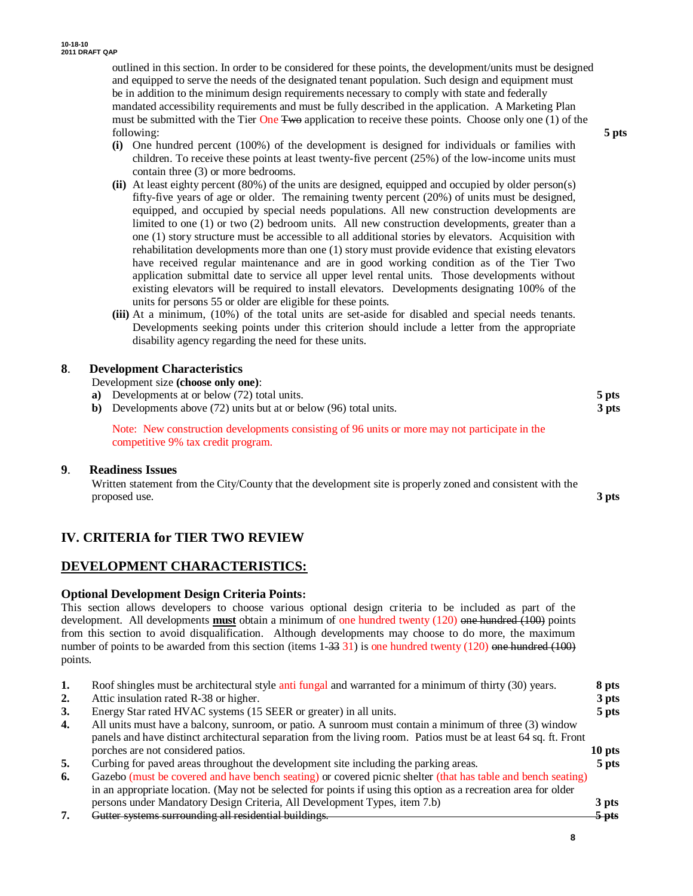outlined in this section. In order to be considered for these points, the development/units must be designed and equipped to serve the needs of the designated tenant population. Such design and equipment must be in addition to the minimum design requirements necessary to comply with state and federally mandated accessibility requirements and must be fully described in the application. A Marketing Plan must be submitted with the Tier One Two application to receive these points. Choose only one (1) of the following: **5 pts**

- **(i)** One hundred percent (100%) of the development is designed for individuals or families with children. To receive these points at least twenty-five percent (25%) of the low-income units must contain three (3) or more bedrooms.
- **(ii)** At least eighty percent (80%) of the units are designed, equipped and occupied by older person(s) fifty-five years of age or older. The remaining twenty percent (20%) of units must be designed, equipped, and occupied by special needs populations. All new construction developments are limited to one (1) or two (2) bedroom units*.* All new construction developments, greater than a one (1) story structure must be accessible to all additional stories by elevators. Acquisition with rehabilitation developments more than one (1) story must provide evidence that existing elevators have received regular maintenance and are in good working condition as of the Tier Two application submittal date to service all upper level rental units. Those developments without existing elevators will be required to install elevators. Developments designating 100% of the units for persons 55 or older are eligible for these points.
- **(iii)** At a minimum, (10%) of the total units are set-aside for disabled and special needs tenants. Developments seeking points under this criterion should include a letter from the appropriate disability agency regarding the need for these units.

### **8**. **Development Characteristics**

Development size **(choose only one)**: **a)** Developments at or below (72) total units. **5 pts b)** Developments above (72) units but at or below (96) total units. **3 pts** Note: New construction developments consisting of 96 units or more may not participate in the

### **9**. **Readiness Issues**

Written statement from the City/County that the development site is properly zoned and consistent with the proposed use. **3 pts**

### **IV. CRITERIA for TIER TWO REVIEW**

competitive 9% tax credit program.

### **DEVELOPMENT CHARACTERISTICS:**

### **Optional Development Design Criteria Points:**

This section allows developers to choose various optional design criteria to be included as part of the development. All developments **must** obtain a minimum of one hundred twenty (120) one hundred (100) points from this section to avoid disqualification. Although developments may choose to do more, the maximum number of points to be awarded from this section (items  $1-33$  31) is one hundred twenty (120) one hundred (100) points.

| 1. | Roof shingles must be architectural style anti fungal and warranted for a minimum of thirty (30) years.          | 8 pts   |
|----|------------------------------------------------------------------------------------------------------------------|---------|
| 2. | Attic insulation rated R-38 or higher.                                                                           | 3 pts   |
| 3. | Energy Star rated HVAC systems (15 SEER or greater) in all units.                                                | 5 pts   |
| 4. | All units must have a balcony, sunroom, or patio. A sunroom must contain a minimum of three (3) window           |         |
|    | panels and have distinct architectural separation from the living room. Patios must be at least 64 sq. ft. Front |         |
|    | porches are not considered patios.                                                                               | 10 pts  |
| 5. | Curbing for paved areas throughout the development site including the parking areas.                             | 5 pts   |
| 6. | Gazebo (must be covered and have bench seating) or covered picnic shelter (that has table and bench seating)     |         |
|    | in an appropriate location. (May not be selected for points if using this option as a recreation area for older  |         |
|    | persons under Mandatory Design Criteria, All Development Types, item 7.b)                                        | 3 pts   |
| 7. | Gutter systems surrounding all residential buildings.                                                            | $5$ pts |
|    |                                                                                                                  |         |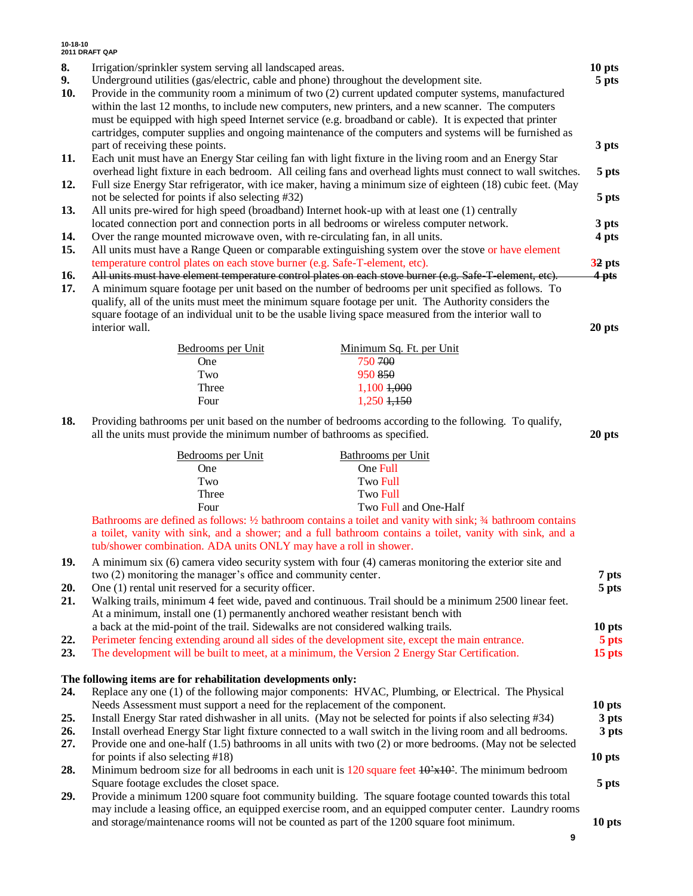| 8.<br>9.<br>10. | Irrigation/sprinkler system serving all landscaped areas.<br>Underground utilities (gas/electric, cable and phone) throughout the development site.<br>Provide in the community room a minimum of two (2) current updated computer systems, manufactured<br>within the last 12 months, to include new computers, new printers, and a new scanner. The computers<br>must be equipped with high speed Internet service (e.g. broadband or cable). It is expected that printer<br>cartridges, computer supplies and ongoing maintenance of the computers and systems will be furnished as |                 |
|-----------------|----------------------------------------------------------------------------------------------------------------------------------------------------------------------------------------------------------------------------------------------------------------------------------------------------------------------------------------------------------------------------------------------------------------------------------------------------------------------------------------------------------------------------------------------------------------------------------------|-----------------|
|                 | part of receiving these points.                                                                                                                                                                                                                                                                                                                                                                                                                                                                                                                                                        | 3 pts           |
| 11.             | Each unit must have an Energy Star ceiling fan with light fixture in the living room and an Energy Star<br>overhead light fixture in each bedroom. All ceiling fans and overhead lights must connect to wall switches.                                                                                                                                                                                                                                                                                                                                                                 |                 |
| 12.             | Full size Energy Star refrigerator, with ice maker, having a minimum size of eighteen (18) cubic feet. (May                                                                                                                                                                                                                                                                                                                                                                                                                                                                            | 5 pts           |
|                 | not be selected for points if also selecting #32)                                                                                                                                                                                                                                                                                                                                                                                                                                                                                                                                      | 5 pts           |
| 13.             | All units pre-wired for high speed (broadband) Internet hook-up with at least one (1) centrally<br>located connection port and connection ports in all bedrooms or wireless computer network.                                                                                                                                                                                                                                                                                                                                                                                          | 3 pts           |
| 14.             | Over the range mounted microwave oven, with re-circulating fan, in all units.                                                                                                                                                                                                                                                                                                                                                                                                                                                                                                          | 4 pts           |
| 15.             | All units must have a Range Queen or comparable extinguishing system over the stove or have element                                                                                                                                                                                                                                                                                                                                                                                                                                                                                    |                 |
|                 | temperature control plates on each stove burner (e.g. Safe-T-element, etc).                                                                                                                                                                                                                                                                                                                                                                                                                                                                                                            | 32 pts          |
| 16.<br>17.      | All units must have element temperature control plates on each stove burner (e.g. Safe-T-element, etc).<br>A minimum square footage per unit based on the number of bedrooms per unit specified as follows. To<br>qualify, all of the units must meet the minimum square footage per unit. The Authority considers the<br>square footage of an individual unit to be the usable living space measured from the interior wall to<br>interior wall.                                                                                                                                      | 4 pts<br>20 pts |
|                 |                                                                                                                                                                                                                                                                                                                                                                                                                                                                                                                                                                                        |                 |
|                 | Minimum Sq. Ft. per Unit<br>Bedrooms per Unit<br>750 700<br>One                                                                                                                                                                                                                                                                                                                                                                                                                                                                                                                        |                 |
|                 | 950 850<br>Two                                                                                                                                                                                                                                                                                                                                                                                                                                                                                                                                                                         |                 |
|                 | 1,100 +,000<br>Three                                                                                                                                                                                                                                                                                                                                                                                                                                                                                                                                                                   |                 |
|                 | $1,250$ $1,150$<br>Four                                                                                                                                                                                                                                                                                                                                                                                                                                                                                                                                                                |                 |
| 18.             | Providing bathrooms per unit based on the number of bedrooms according to the following. To qualify,<br>all the units must provide the minimum number of bathrooms as specified.                                                                                                                                                                                                                                                                                                                                                                                                       | 20 pts          |
|                 | Bedrooms per Unit<br>Bathrooms per Unit                                                                                                                                                                                                                                                                                                                                                                                                                                                                                                                                                |                 |
|                 | One Full<br>One                                                                                                                                                                                                                                                                                                                                                                                                                                                                                                                                                                        |                 |
|                 | Two<br><b>Two Full</b>                                                                                                                                                                                                                                                                                                                                                                                                                                                                                                                                                                 |                 |
|                 | <b>Two Full</b><br>Three                                                                                                                                                                                                                                                                                                                                                                                                                                                                                                                                                               |                 |
|                 | Four<br>Two Full and One-Half<br>Bathrooms are defined as follows: 1/2 bathroom contains a toilet and vanity with sink; 3/4 bathroom contains<br>a toilet, vanity with sink, and a shower; and a full bathroom contains a toilet, vanity with sink, and a<br>tub/shower combination. ADA units ONLY may have a roll in shower.                                                                                                                                                                                                                                                         |                 |
| 19.             | A minimum six (6) camera video security system with four (4) cameras monitoring the exterior site and                                                                                                                                                                                                                                                                                                                                                                                                                                                                                  |                 |
| 20.             | two (2) monitoring the manager's office and community center.<br>One (1) rental unit reserved for a security officer.                                                                                                                                                                                                                                                                                                                                                                                                                                                                  | 7 pts           |
| 21.             | Walking trails, minimum 4 feet wide, paved and continuous. Trail should be a minimum 2500 linear feet.<br>At a minimum, install one (1) permanently anchored weather resistant bench with                                                                                                                                                                                                                                                                                                                                                                                              | 5 pts           |
|                 | a back at the mid-point of the trail. Sidewalks are not considered walking trails.                                                                                                                                                                                                                                                                                                                                                                                                                                                                                                     | 10 pts          |
| 22.             | Perimeter fencing extending around all sides of the development site, except the main entrance.                                                                                                                                                                                                                                                                                                                                                                                                                                                                                        | 5 pts           |
| 23.             | The development will be built to meet, at a minimum, the Version 2 Energy Star Certification.                                                                                                                                                                                                                                                                                                                                                                                                                                                                                          | 15 pts          |
|                 | The following items are for rehabilitation developments only:                                                                                                                                                                                                                                                                                                                                                                                                                                                                                                                          |                 |
| 24.             | Replace any one (1) of the following major components: HVAC, Plumbing, or Electrical. The Physical                                                                                                                                                                                                                                                                                                                                                                                                                                                                                     |                 |
|                 | Needs Assessment must support a need for the replacement of the component.                                                                                                                                                                                                                                                                                                                                                                                                                                                                                                             | 10 pts          |
| 25.             | Install Energy Star rated dishwasher in all units. (May not be selected for points if also selecting #34)                                                                                                                                                                                                                                                                                                                                                                                                                                                                              | 3 pts           |
| 26.             | Install overhead Energy Star light fixture connected to a wall switch in the living room and all bedrooms.                                                                                                                                                                                                                                                                                                                                                                                                                                                                             | 3 pts           |
| 27.             | Provide one and one-half (1.5) bathrooms in all units with two (2) or more bedrooms. (May not be selected                                                                                                                                                                                                                                                                                                                                                                                                                                                                              |                 |
| 28.             | for points if also selecting $#18$ )                                                                                                                                                                                                                                                                                                                                                                                                                                                                                                                                                   | 10 pts          |
|                 | Minimum bedroom size for all bedrooms in each unit is $120$ square feet $10^2 \times 10^2$ . The minimum bedroom<br>Square footage excludes the closet space.                                                                                                                                                                                                                                                                                                                                                                                                                          | 5 pts           |
| 29.             | Provide a minimum 1200 square foot community building. The square footage counted towards this total                                                                                                                                                                                                                                                                                                                                                                                                                                                                                   |                 |
|                 | may include a leasing office, an equipped exercise room, and an equipped computer center. Laundry rooms                                                                                                                                                                                                                                                                                                                                                                                                                                                                                |                 |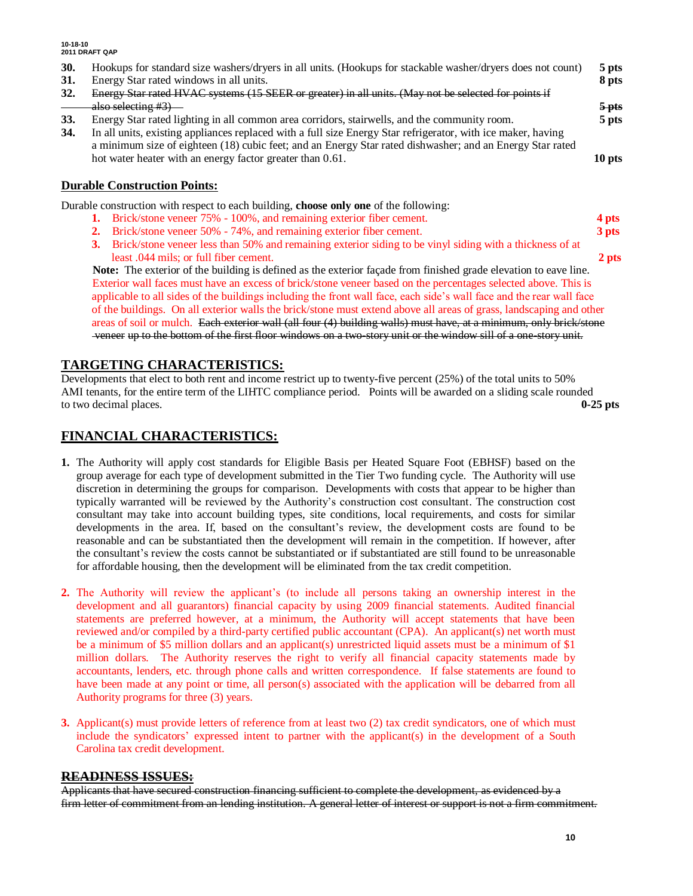### **10-18-10 2011 DRAFT QAP 30.** Hookups for standard size washers/dryers in all units. (Hookups for stackable washer/dryers does not count) **5 pts 31.** Energy Star rated windows in all units. **8 pts 32.** Energy Star rated HVAC systems (15 SEER or greater) in all units. (May not be selected for points if also selecting #3) **5 pts 33.** Energy Star rated lighting in all common area corridors, stairwells, and the community room. **5 pts 34.** In all units, existing appliances replaced with a full size Energy Star refrigerator, with ice maker, having a minimum size of eighteen (18) cubic feet; and an Energy Star rated dishwasher; and an Energy Star rated hot water heater with an energy factor greater than 0.61. **10 pts Durable Construction Points:** Durable construction with respect to each building, **choose only one** of the following: **1.** Brick/stone veneer 75% - 100%, and remaining exterior fiber cement. **4 pts 2.** Brick/stone veneer 50% - 74%, and remaining exterior fiber cement. **3 pts**

**3.** Brick/stone veneer less than 50% and remaining exterior siding to be vinyl siding with a thickness of at least .044 mils; or full fiber cement. **2 pts**

 **Note:** The exterior of the building is defined as the exterior façade from finished grade elevation to eave line. Exterior wall faces must have an excess of brick/stone veneer based on the percentages selected above. This is applicable to all sides of the buildings including the front wall face, each side's wall face and the rear wall face of the buildings. On all exterior walls the brick/stone must extend above all areas of grass, landscaping and other areas of soil or mulch. Each exterior wall (all four (4) building walls) must have, at a minimum, only brick/stone veneer up to the bottom of the first floor windows on a two-story unit or the window sill of a one-story unit.

### **TARGETING CHARACTERISTICS:**

Developments that elect to both rent and income restrict up to twenty-five percent (25%) of the total units to 50% AMI tenants, for the entire term of the LIHTC compliance period. Points will be awarded on a sliding scale rounded to two decimal places. **0-25 pts**

### **FINANCIAL CHARACTERISTICS:**

- **1.** The Authority will apply cost standards for Eligible Basis per Heated Square Foot (EBHSF) based on the group average for each type of development submitted in the Tier Two funding cycle. The Authority will use discretion in determining the groups for comparison. Developments with costs that appear to be higher than typically warranted will be reviewed by the Authority's construction cost consultant. The construction cost consultant may take into account building types, site conditions, local requirements, and costs for similar developments in the area. If, based on the consultant's review, the development costs are found to be reasonable and can be substantiated then the development will remain in the competition. If however, after the consultant's review the costs cannot be substantiated or if substantiated are still found to be unreasonable for affordable housing, then the development will be eliminated from the tax credit competition.
- **2.** The Authority will review the applicant's (to include all persons taking an ownership interest in the development and all guarantors) financial capacity by using 2009 financial statements. Audited financial statements are preferred however, at a minimum, the Authority will accept statements that have been reviewed and/or compiled by a third-party certified public accountant (CPA). An applicant(s) net worth must be a minimum of \$5 million dollars and an applicant(s) unrestricted liquid assets must be a minimum of \$1 million dollars. The Authority reserves the right to verify all financial capacity statements made by accountants, lenders, etc. through phone calls and written correspondence. If false statements are found to have been made at any point or time, all person(s) associated with the application will be debarred from all Authority programs for three (3) years.
- **3.** Applicant(s) must provide letters of reference from at least two (2) tax credit syndicators, one of which must include the syndicators' expressed intent to partner with the applicant(s) in the development of a South Carolina tax credit development.

### **READINESS ISSUES:**

Applicants that have secured construction financing sufficient to complete the development, as evidenced by a firm letter of commitment from an lending institution. A general letter of interest or support is not a firm commitment.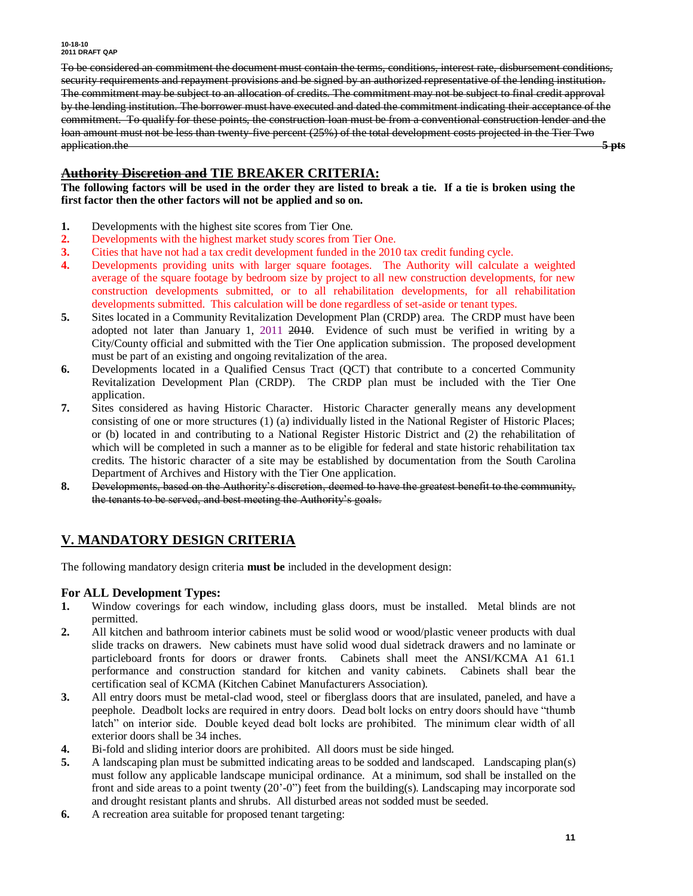To be considered an commitment the document must contain the terms, conditions, interest rate, disbursement conditions, security requirements and repayment provisions and be signed by an authorized representative of the lending institution. The commitment may be subject to an allocation of credits. The commitment may not be subject to final credit approval by the lending institution. The borrower must have executed and dated the commitment indicating their acceptance of the commitment. To qualify for these points, the construction loan must be from a conventional construction lender and the loan amount must not be less than twenty-five percent (25%) of the total development costs projected in the Tier Two application.the **5 pts**

### **Authority Discretion and TIE BREAKER CRITERIA:**

**The following factors will be used in the order they are listed to break a tie. If a tie is broken using the first factor then the other factors will not be applied and so on.**

- **1.** Developments with the highest site scores from Tier One.
- **2.** Developments with the highest market study scores from Tier One.
- **3.** Cities that have not had a tax credit development funded in the 2010 tax credit funding cycle.
- **4.** Developments providing units with larger square footages. The Authority will calculate a weighted average of the square footage by bedroom size by project to all new construction developments, for new construction developments submitted, or to all rehabilitation developments, for all rehabilitation developments submitted. This calculation will be done regardless of set-aside or tenant types.
- **5.** Sites located in a Community Revitalization Development Plan (CRDP) area. The CRDP must have been adopted not later than January 1, 2011 2010. Evidence of such must be verified in writing by a City/County official and submitted with the Tier One application submission. The proposed development must be part of an existing and ongoing revitalization of the area.
- **6.** Developments located in a Qualified Census Tract (QCT) that contribute to a concerted Community Revitalization Development Plan (CRDP). The CRDP plan must be included with the Tier One application.
- **7.** Sites considered as having Historic Character. Historic Character generally means any development consisting of one or more structures (1) (a) individually listed in the National Register of Historic Places; or (b) located in and contributing to a National Register Historic District and (2) the rehabilitation of which will be completed in such a manner as to be eligible for federal and state historic rehabilitation tax credits. The historic character of a site may be established by documentation from the South Carolina Department of Archives and History with the Tier One application.
- **8.** Developments, based on the Authority's discretion, deemed to have the greatest benefit to the community, the tenants to be served, and best meeting the Authority's goals.

### **V. MANDATORY DESIGN CRITERIA**

The following mandatory design criteria **must be** included in the development design:

### **For ALL Development Types:**

- **1.** Window coverings for each window, including glass doors, must be installed. Metal blinds are not permitted.
- **2.** All kitchen and bathroom interior cabinets must be solid wood or wood/plastic veneer products with dual slide tracks on drawers. New cabinets must have solid wood dual sidetrack drawers and no laminate or particleboard fronts for doors or drawer fronts. Cabinets shall meet the ANSI/KCMA A1 61.1 performance and construction standard for kitchen and vanity cabinets. Cabinets shall bear the certification seal of KCMA (Kitchen Cabinet Manufacturers Association).
- **3.** All entry doors must be metal-clad wood, steel or fiberglass doors that are insulated, paneled, and have a peephole. Deadbolt locks are required in entry doors. Dead bolt locks on entry doors should have "thumb latch" on interior side. Double keyed dead bolt locks are prohibited. The minimum clear width of all exterior doors shall be 34 inches.
- **4.** Bi-fold and sliding interior doors are prohibited. All doors must be side hinged.
- **5.** A landscaping plan must be submitted indicating areas to be sodded and landscaped. Landscaping plan(s) must follow any applicable landscape municipal ordinance. At a minimum, sod shall be installed on the front and side areas to a point twenty (20'-0") feet from the building(s). Landscaping may incorporate sod and drought resistant plants and shrubs. All disturbed areas not sodded must be seeded.
- **6.** A recreation area suitable for proposed tenant targeting: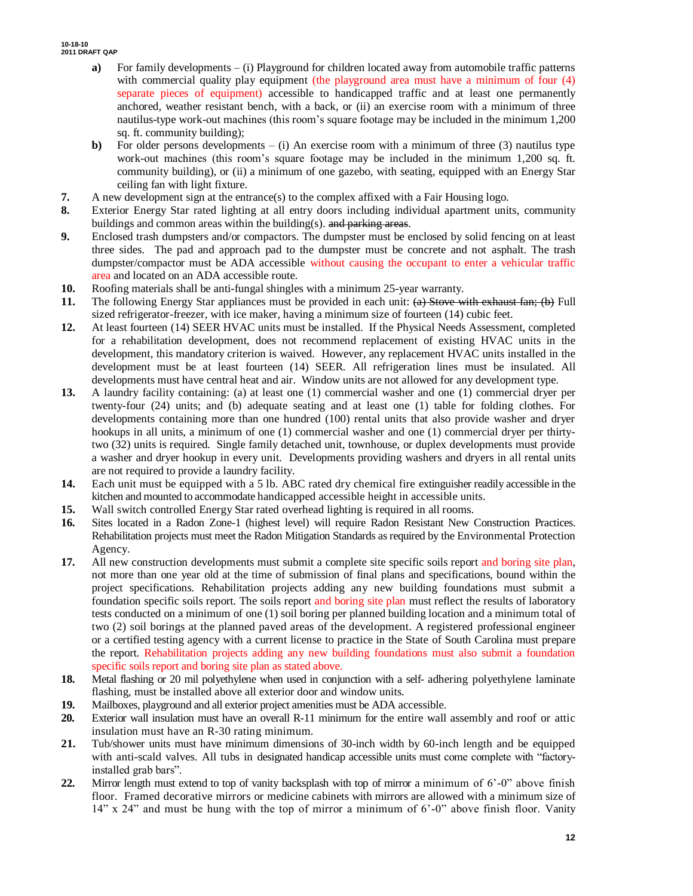- **a)** For family developments (i) Playground for children located away from automobile traffic patterns with commercial quality play equipment (the playground area must have a minimum of four (4) separate pieces of equipment) accessible to handicapped traffic and at least one permanently anchored, weather resistant bench, with a back, or (ii) an exercise room with a minimum of three nautilus-type work-out machines (this room's square footage may be included in the minimum 1,200 sq. ft. community building);
- **b**) For older persons developments (i) An exercise room with a minimum of three (3) nautilus type work-out machines (this room's square footage may be included in the minimum 1,200 sq. ft. community building), or (ii) a minimum of one gazebo, with seating, equipped with an Energy Star ceiling fan with light fixture.
- **7.** A new development sign at the entrance(s) to the complex affixed with a Fair Housing logo.
- **8.** Exterior Energy Star rated lighting at all entry doors including individual apartment units, community buildings and common areas within the building(s). and parking areas.
- **9.** Enclosed trash dumpsters and/or compactors. The dumpster must be enclosed by solid fencing on at least three sides. The pad and approach pad to the dumpster must be concrete and not asphalt. The trash dumpster/compactor must be ADA accessible without causing the occupant to enter a vehicular traffic area and located on an ADA accessible route.
- **10.** Roofing materials shall be anti-fungal shingles with a minimum 25-year warranty.
- **11.** The following Energy Star appliances must be provided in each unit: (a) Stove with exhaust fan; (b) Full sized refrigerator-freezer, with ice maker, having a minimum size of fourteen (14) cubic feet.
- **12.** At least fourteen (14) SEER HVAC units must be installed. If the Physical Needs Assessment, completed for a rehabilitation development, does not recommend replacement of existing HVAC units in the development, this mandatory criterion is waived. However, any replacement HVAC units installed in the development must be at least fourteen (14) SEER. All refrigeration lines must be insulated. All developments must have central heat and air. Window units are not allowed for any development type.
- **13.** A laundry facility containing: (a) at least one (1) commercial washer and one (1) commercial dryer per twenty-four (24) units; and (b) adequate seating and at least one (1) table for folding clothes. For developments containing more than one hundred (100) rental units that also provide washer and dryer hookups in all units, a minimum of one (1) commercial washer and one (1) commercial dryer per thirtytwo (32) units is required. Single family detached unit, townhouse, or duplex developments must provide a washer and dryer hookup in every unit. Developments providing washers and dryers in all rental units are not required to provide a laundry facility.
- **14.** Each unit must be equipped with a 5 lb. ABC rated dry chemical fire extinguisher readily accessible in the kitchen and mounted to accommodate handicapped accessible height in accessible units.
- **15.** Wall switch controlled Energy Star rated overhead lighting is required in all rooms.
- **16.** Sites located in a Radon Zone-1 (highest level) will require Radon Resistant New Construction Practices. Rehabilitation projects must meet the Radon Mitigation Standards as required by the Environmental Protection Agency.
- **17.** All new construction developments must submit a complete site specific soils report and boring site plan, not more than one year old at the time of submission of final plans and specifications, bound within the project specifications. Rehabilitation projects adding any new building foundations must submit a foundation specific soils report. The soils report and boring site plan must reflect the results of laboratory tests conducted on a minimum of one (1) soil boring per planned building location and a minimum total of two (2) soil borings at the planned paved areas of the development. A registered professional engineer or a certified testing agency with a current license to practice in the State of South Carolina must prepare the report. Rehabilitation projects adding any new building foundations must also submit a foundation specific soils report and boring site plan as stated above.
- **18.** Metal flashing or 20 mil polyethylene when used in conjunction with a self- adhering polyethylene laminate flashing, must be installed above all exterior door and window units.
- **19.** Mailboxes, playground and all exterior project amenities must be ADA accessible.
- **20.** Exterior wall insulation must have an overall R-11 minimum for the entire wall assembly and roof or attic insulation must have an R-30 rating minimum.
- **21.** Tub/shower units must have minimum dimensions of 30-inch width by 60-inch length and be equipped with anti-scald valves. All tubs in designated handicap accessible units must come complete with "factoryinstalled grab bars".
- **22.** Mirror length must extend to top of vanity backsplash with top of mirror a minimum of 6'-0" above finish floor. Framed decorative mirrors or medicine cabinets with mirrors are allowed with a minimum size of  $14$ " x 24" and must be hung with the top of mirror a minimum of 6'-0" above finish floor. Vanity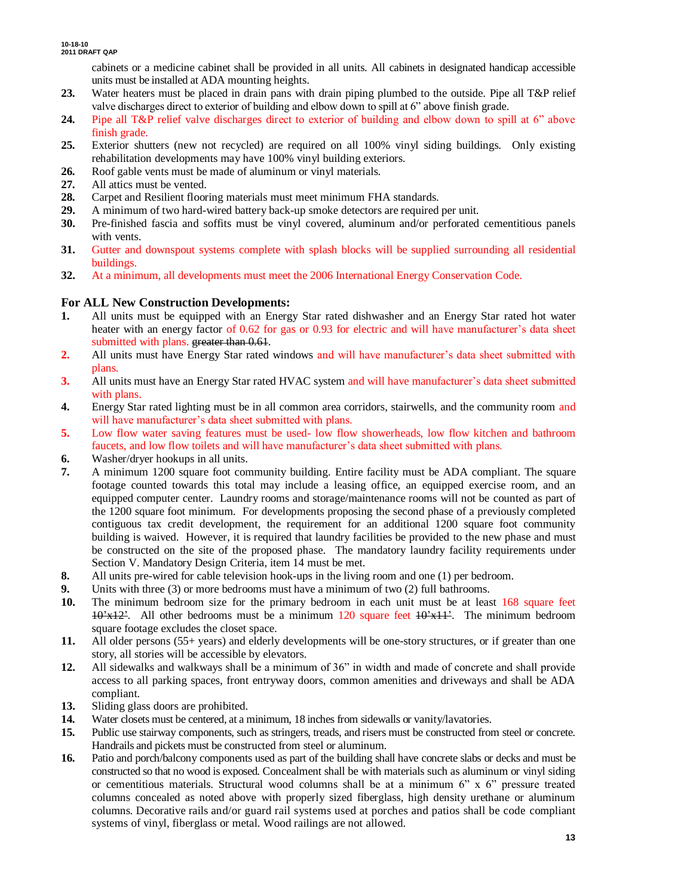cabinets or a medicine cabinet shall be provided in all units. All cabinets in designated handicap accessible units must be installed at ADA mounting heights.

- **23.** Water heaters must be placed in drain pans with drain piping plumbed to the outside. Pipe all T&P relief valve discharges direct to exterior of building and elbow down to spill at 6" above finish grade.
- **24.** Pipe all T&P relief valve discharges direct to exterior of building and elbow down to spill at 6" above finish grade.
- **25.** Exterior shutters (new not recycled) are required on all 100% vinyl siding buildings. Only existing rehabilitation developments may have 100% vinyl building exteriors.
- **26.** Roof gable vents must be made of aluminum or vinyl materials.
- **27.** All attics must be vented.
- **28.** Carpet and Resilient flooring materials must meet minimum FHA standards.
- **29.** A minimum of two hard-wired battery back-up smoke detectors are required per unit.
- **30.** Pre-finished fascia and soffits must be vinyl covered, aluminum and/or perforated cementitious panels with vents.
- **31.** Gutter and downspout systems complete with splash blocks will be supplied surrounding all residential buildings.
- **32.** At a minimum, all developments must meet the 2006 International Energy Conservation Code.

### **For ALL New Construction Developments:**

- **1.** All units must be equipped with an Energy Star rated dishwasher and an Energy Star rated hot water heater with an energy factor of 0.62 for gas or 0.93 for electric and will have manufacturer's data sheet submitted with plans. greater than 0.61.
- **2.** All units must have Energy Star rated windows and will have manufacturer's data sheet submitted with plans.
- **3.** All units must have an Energy Star rated HVAC system and will have manufacturer's data sheet submitted with plans.
- **4.** Energy Star rated lighting must be in all common area corridors, stairwells, and the community room and will have manufacturer's data sheet submitted with plans.
- **5.** Low flow water saving features must be used- low flow showerheads, low flow kitchen and bathroom faucets, and low flow toilets and will have manufacturer's data sheet submitted with plans.
- **6.** Washer/dryer hookups in all units.
- **7.** A minimum 1200 square foot community building. Entire facility must be ADA compliant. The square footage counted towards this total may include a leasing office, an equipped exercise room, and an equipped computer center. Laundry rooms and storage/maintenance rooms will not be counted as part of the 1200 square foot minimum. For developments proposing the second phase of a previously completed contiguous tax credit development, the requirement for an additional 1200 square foot community building is waived. However, it is required that laundry facilities be provided to the new phase and must be constructed on the site of the proposed phase. The mandatory laundry facility requirements under Section V. Mandatory Design Criteria, item 14 must be met.
- **8.** All units pre-wired for cable television hook-ups in the living room and one (1) per bedroom.
- **9.** Units with three (3) or more bedrooms must have a minimum of two (2) full bathrooms.
- **10.** The minimum bedroom size for the primary bedroom in each unit must be at least 168 square feet  $10^{3}x12^{2}$ . All other bedrooms must be a minimum 120 square feet  $10^{3}x11^{2}$ . The minimum bedroom square footage excludes the closet space.
- **11.** All older persons (55+ years) and elderly developments will be one-story structures, or if greater than one story, all stories will be accessible by elevators.
- **12.** All sidewalks and walkways shall be a minimum of 36" in width and made of concrete and shall provide access to all parking spaces, front entryway doors, common amenities and driveways and shall be ADA compliant.
- **13.** Sliding glass doors are prohibited.
- **14.** Water closets must be centered, at a minimum, 18 inches from sidewalls or vanity/lavatories.
- **15.** Public use stairway components, such as stringers, treads, and risers must be constructed from steel or concrete. Handrails and pickets must be constructed from steel or aluminum.
- **16.** Patio and porch/balcony components used as part of the building shall have concrete slabs or decks and must be constructed so that no wood is exposed. Concealment shall be with materials such as aluminum or vinyl siding or cementitious materials. Structural wood columns shall be at a minimum  $6"$  x  $6"$  pressure treated columns concealed as noted above with properly sized fiberglass, high density urethane or aluminum columns. Decorative rails and/or guard rail systems used at porches and patios shall be code compliant systems of vinyl, fiberglass or metal. Wood railings are not allowed.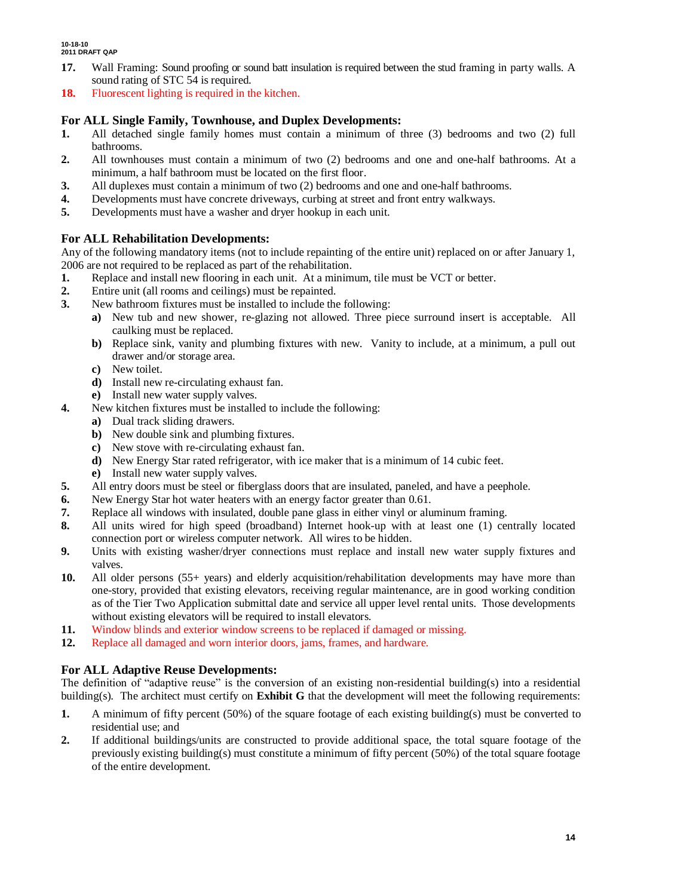- **17.** Wall Framing: Sound proofing or sound batt insulation is required between the stud framing in party walls. A sound rating of STC 54 is required.
- **18.** Fluorescent lighting is required in the kitchen.

### **For ALL Single Family, Townhouse, and Duplex Developments:**

- **1.** All detached single family homes must contain a minimum of three (3) bedrooms and two (2) full bathrooms.
- **2.** All townhouses must contain a minimum of two (2) bedrooms and one and one-half bathrooms. At a minimum, a half bathroom must be located on the first floor.
- **3.** All duplexes must contain a minimum of two (2) bedrooms and one and one-half bathrooms.
- **4.** Developments must have concrete driveways, curbing at street and front entry walkways.
- **5.** Developments must have a washer and dryer hookup in each unit.

### **For ALL Rehabilitation Developments:**

Any of the following mandatory items (not to include repainting of the entire unit) replaced on or after January 1, 2006 are not required to be replaced as part of the rehabilitation.

- **1.** Replace and install new flooring in each unit. At a minimum, tile must be VCT or better.
- **2.** Entire unit (all rooms and ceilings) must be repainted.
- **3.** New bathroom fixtures must be installed to include the following:
	- **a)** New tub and new shower, re-glazing not allowed. Three piece surround insert is acceptable. All caulking must be replaced.
	- **b)** Replace sink, vanity and plumbing fixtures with new. Vanity to include, at a minimum, a pull out drawer and/or storage area.
	- **c)** New toilet.
	- **d)** Install new re-circulating exhaust fan.
	- **e)** Install new water supply valves.
- **4.** New kitchen fixtures must be installed to include the following:
	- **a)** Dual track sliding drawers.
	- **b)** New double sink and plumbing fixtures.
	- **c)** New stove with re-circulating exhaust fan.
	- **d)** New Energy Star rated refrigerator, with ice maker that is a minimum of 14 cubic feet.
	- **e)** Install new water supply valves.
- **5.** All entry doors must be steel or fiberglass doors that are insulated, paneled, and have a peephole.
- **6.** New Energy Star hot water heaters with an energy factor greater than 0.61.
- **7.** Replace all windows with insulated, double pane glass in either vinyl or aluminum framing.
- **8.** All units wired for high speed (broadband) Internet hook-up with at least one (1) centrally located connection port or wireless computer network. All wires to be hidden.
- **9.** Units with existing washer/dryer connections must replace and install new water supply fixtures and valves.
- **10.** All older persons (55+ years) and elderly acquisition/rehabilitation developments may have more than one-story, provided that existing elevators, receiving regular maintenance, are in good working condition as of the Tier Two Application submittal date and service all upper level rental units. Those developments without existing elevators will be required to install elevators.
- **11.** Window blinds and exterior window screens to be replaced if damaged or missing.
- **12.** Replace all damaged and worn interior doors, jams, frames, and hardware.

### **For ALL Adaptive Reuse Developments:**

The definition of "adaptive reuse" is the conversion of an existing non-residential building(s) into a residential building(s). The architect must certify on **Exhibit G** that the development will meet the following requirements:

- **1.** A minimum of fifty percent (50%) of the square footage of each existing building(s) must be converted to residential use; and
- **2.** If additional buildings/units are constructed to provide additional space, the total square footage of the previously existing building(s) must constitute a minimum of fifty percent (50%) of the total square footage of the entire development.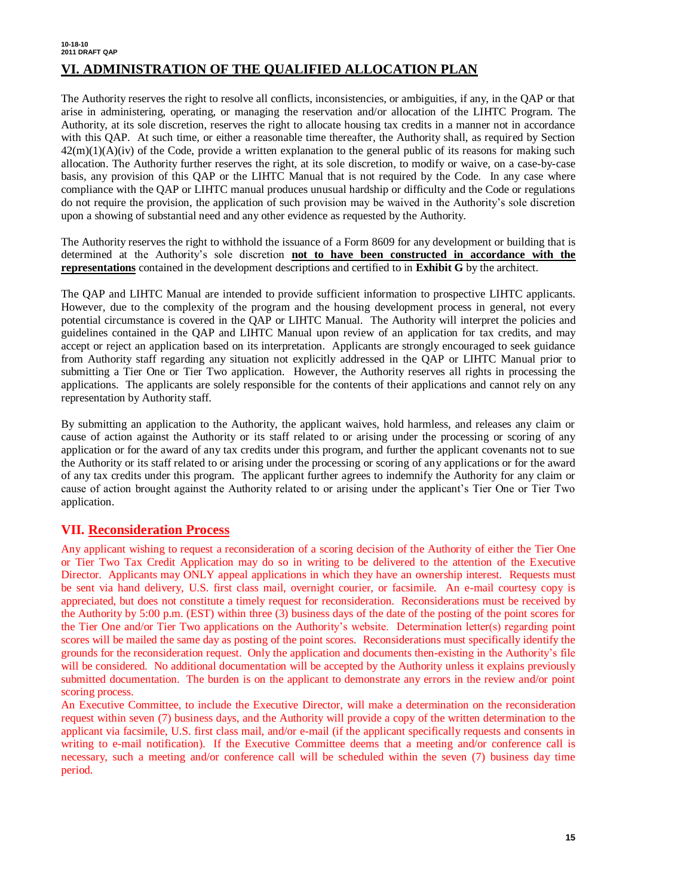#### **10-18-10 2011 DRAFT QAP VI. ADMINISTRATION OF THE QUALIFIED ALLOCATION PLAN**

The Authority reserves the right to resolve all conflicts, inconsistencies, or ambiguities, if any, in the QAP or that arise in administering, operating, or managing the reservation and/or allocation of the LIHTC Program. The Authority, at its sole discretion, reserves the right to allocate housing tax credits in a manner not in accordance with this QAP. At such time, or either a reasonable time thereafter, the Authority shall, as required by Section  $42(m)(1)(A)(iv)$  of the Code, provide a written explanation to the general public of its reasons for making such allocation. The Authority further reserves the right, at its sole discretion, to modify or waive, on a case-by-case basis, any provision of this QAP or the LIHTC Manual that is not required by the Code. In any case where compliance with the QAP or LIHTC manual produces unusual hardship or difficulty and the Code or regulations do not require the provision, the application of such provision may be waived in the Authority's sole discretion upon a showing of substantial need and any other evidence as requested by the Authority.

The Authority reserves the right to withhold the issuance of a Form 8609 for any development or building that is determined at the Authority's sole discretion **not to have been constructed in accordance with the representations** contained in the development descriptions and certified to in **Exhibit G** by the architect.

The QAP and LIHTC Manual are intended to provide sufficient information to prospective LIHTC applicants. However, due to the complexity of the program and the housing development process in general, not every potential circumstance is covered in the QAP or LIHTC Manual. The Authority will interpret the policies and guidelines contained in the QAP and LIHTC Manual upon review of an application for tax credits, and may accept or reject an application based on its interpretation. Applicants are strongly encouraged to seek guidance from Authority staff regarding any situation not explicitly addressed in the QAP or LIHTC Manual prior to submitting a Tier One or Tier Two application. However, the Authority reserves all rights in processing the applications. The applicants are solely responsible for the contents of their applications and cannot rely on any representation by Authority staff.

By submitting an application to the Authority, the applicant waives, hold harmless, and releases any claim or cause of action against the Authority or its staff related to or arising under the processing or scoring of any application or for the award of any tax credits under this program, and further the applicant covenants not to sue the Authority or its staff related to or arising under the processing or scoring of any applications or for the award of any tax credits under this program. The applicant further agrees to indemnify the Authority for any claim or cause of action brought against the Authority related to or arising under the applicant's Tier One or Tier Two application.

### **VII. Reconsideration Process**

Any applicant wishing to request a reconsideration of a scoring decision of the Authority of either the Tier One or Tier Two Tax Credit Application may do so in writing to be delivered to the attention of the Executive Director. Applicants may ONLY appeal applications in which they have an ownership interest. Requests must be sent via hand delivery, U.S. first class mail, overnight courier, or facsimile. An e-mail courtesy copy is appreciated, but does not constitute a timely request for reconsideration. Reconsiderations must be received by the Authority by 5:00 p.m. (EST) within three (3) business days of the date of the posting of the point scores for the Tier One and/or Tier Two applications on the Authority's website. Determination letter(s) regarding point scores will be mailed the same day as posting of the point scores. Reconsiderations must specifically identify the grounds for the reconsideration request. Only the application and documents then-existing in the Authority's file will be considered. No additional documentation will be accepted by the Authority unless it explains previously submitted documentation. The burden is on the applicant to demonstrate any errors in the review and/or point scoring process.

An Executive Committee, to include the Executive Director, will make a determination on the reconsideration request within seven (7) business days, and the Authority will provide a copy of the written determination to the applicant via facsimile, U.S. first class mail, and/or e-mail (if the applicant specifically requests and consents in writing to e-mail notification). If the Executive Committee deems that a meeting and/or conference call is necessary, such a meeting and/or conference call will be scheduled within the seven (7) business day time period.